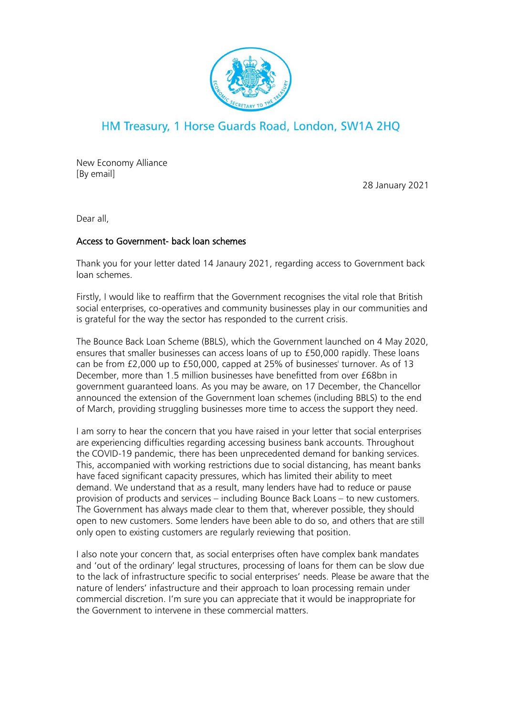

## HM Treasury, 1 Horse Guards Road, London, SW1A 2HQ

New Economy Alliance [By email]

28 January 2021

Dear all,

## Access to Government- back loan schemes

Thank you for your letter dated 14 Janaury 2021, regarding access to Government back loan schemes.

Firstly, I would like to reaffirm that the Government recognises the vital role that British social enterprises, co-operatives and community businesses play in our communities and is grateful for the way the sector has responded to the current crisis.

The Bounce Back Loan Scheme (BBLS), which the Government launched on 4 May 2020, ensures that smaller businesses can access loans of up to £50,000 rapidly. These loans can be from £2,000 up to £50,000, capped at 25% of businesses' turnover. As of 13 December, more than 1.5 million businesses have benefitted from over £68bn in government guaranteed loans. As you may be aware, on 17 December, the Chancellor announced the extension of the Government loan schemes (including BBLS) to the end of March, providing struggling businesses more time to access the support they need.

I am sorry to hear the concern that you have raised in your letter that social enterprises are experiencing difficulties regarding accessing business bank accounts. Throughout the COVID-19 pandemic, there has been unprecedented demand for banking services. This, accompanied with working restrictions due to social distancing, has meant banks have faced significant capacity pressures, which has limited their ability to meet demand. We understand that as a result, many lenders have had to reduce or pause provision of products and services – including Bounce Back Loans – to new customers. The Government has always made clear to them that, wherever possible, they should open to new customers. Some lenders have been able to do so, and others that are still only open to existing customers are regularly reviewing that position.

I also note your concern that, as social enterprises often have complex bank mandates and 'out of the ordinary' legal structures, processing of loans for them can be slow due to the lack of infrastructure specific to social enterprises' needs. Please be aware that the nature of lenders' infastructure and their approach to loan processing remain under commercial discretion. I'm sure you can appreciate that it would be inappropriate for the Government to intervene in these commercial matters.